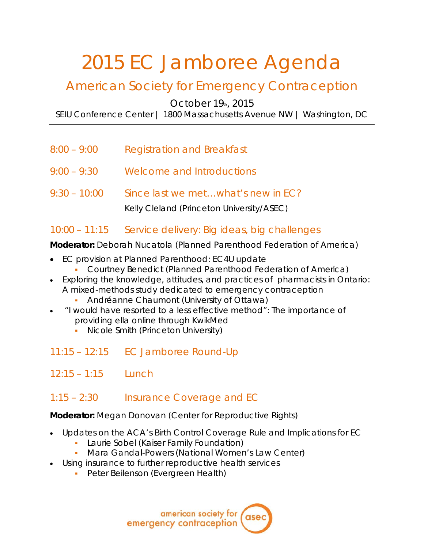# 2015 EC Jamboree Agenda

# American Society for Emergency Contraception

October  $19<sub>th</sub>$ , 2015

SEIU Conference Center | 1800 Massachusetts Avenue NW | Washington, DC

- 8:00 9:00 Registration and Breakfast
- 9:00 9:30 Welcome and Introductions
- 9:30 10:00 Since last we met…what's new in EC?

Kelly Cleland *(Princeton University/ASEC)*

#### 10:00 – 11:15 Service delivery: Big ideas, big challenges

**Moderator:** Deborah Nucatola *(Planned Parenthood Federation of America)*

- EC provision at Planned Parenthood: EC4U update
	- Courtney Benedict *(Planned Parenthood Federation of America)*
- Exploring the knowledge, attitudes, and practices of pharmacists in Ontario: A mixed-methods study dedicated to emergency contraception
	- Andréanne Chaumont *(University of Ottawa)*
- "I would have resorted to a less effective method": The importance of providing ella online through KwikMed
	- Nicole Smith (*Princeton University)*
- 11:15 12:15 EC Jamboree Round-Up
- $12:15 1:15$  Lunch
- 1:15 2:30 Insurance Coverage and EC

**Moderator:** Megan Donovan *(Center for Reproductive Rights)*

- Updates on the ACA's Birth Control Coverage Rule and Implications for EC
	- Laurie Sobel *(Kaiser Family Foundation)*
	- Mara Gandal-Powers *(National Women's Law Center)*
- Using insurance to further reproductive health services
	- Peter Beilenson *(Evergreen Health)*